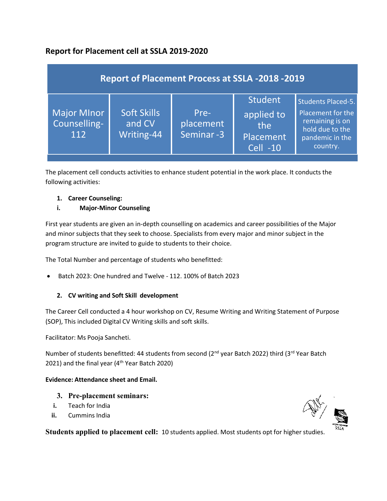# **Report for Placement cell at SSLA 2019-2020**

| <b>Report of Placement Process at SSLA -2018 -2019</b> |                                            |                                |                                                                     |                                                                                                                     |
|--------------------------------------------------------|--------------------------------------------|--------------------------------|---------------------------------------------------------------------|---------------------------------------------------------------------------------------------------------------------|
| <b>Major MInor</b><br>Counselling-<br>112              | <b>Soft Skills</b><br>and CV<br>Writing-44 | Pre-<br>placement<br>Seminar-3 | <b>Student</b><br>applied to<br>the<br>Placement<br><b>Cell -10</b> | <b>Students Placed-5.</b><br>Placement for the<br>remaining is on<br>hold due to the<br>pandemic in the<br>country. |

The placement cell conducts activities to enhance student potential in the work place. It conducts the following activities:

# **1. Career Counseling:**

# **i. Major-Minor Counseling**

First year students are given an in-depth counselling on academics and career possibilities of the Major and minor subjects that they seek to choose. Specialists from every major and minor subject in the program structure are invited to guide to students to their choice.

The Total Number and percentage of students who benefitted:

Batch 2023: One hundred and Twelve - 112. 100% of Batch 2023

# **2. CV writing and Soft Skill development**

The Career Cell conducted a 4 hour workshop on CV, Resume Writing and Writing Statement of Purpose (SOP), This included Digital CV Writing skills and soft skills.

Facilitator: Ms Pooja Sancheti.

Number of students benefitted: 44 students from second (2<sup>nd</sup> year Batch 2022) third (3<sup>rd</sup> Year Batch 2021) and the final year ( $4<sup>th</sup>$  Year Batch 2020)

## **Evidence: Attendance sheet and Email.**

- **3. Pre-placement seminars:**
- **i.** Teach for India
- **ii.** Cummins India

**Students applied to placement cell:** 10 students applied. Most students opt for higher studies.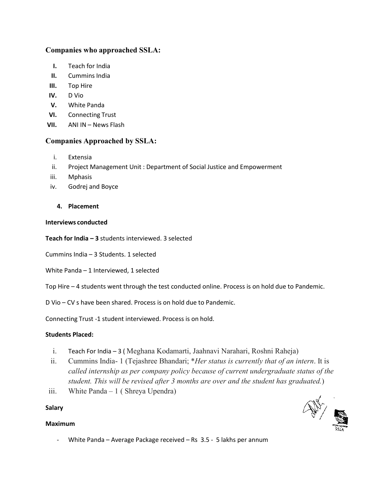# **Companies who approached SSLA:**

- **I.** Teach for India
- **II.** Cummins India
- **III.** Top Hire
- **IV.** D Vio
- **V.** White Panda
- **VI.** Connecting Trust
- **VII.** ANI IN News Flash

# **Companies Approached by SSLA:**

- i. Extensia
- ii. Project Management Unit : Department of Social Justice and Empowerment
- iii. Mphasis
- iv. Godrej and Boyce

## **4. Placement**

#### **Interviews conducted**

**Teach for India – 3** students interviewed. 3 selected

Cummins India – 3 Students. 1 selected

- White Panda 1 Interviewed, 1 selected
- Top Hire 4 students went through the test conducted online. Process is on hold due to Pandemic.
- D Vio CV s have been shared. Process is on hold due to Pandemic.

Connecting Trust -1 student interviewed. Process is on hold.

## **Students Placed:**

- i. Teach For India 3 ( Meghana Kodamarti, Jaahnavi Narahari, Roshni Raheja)
- ii. Cummins India- 1 (Tejashree Bhandari; \**Her status is currently that of an intern*. It is *called internship as per company policy because of current undergraduate status of the student. This will be revised after 3 months are over and the student has graduated.*)
- iii. White Panda 1 ( Shreya Upendra)

#### **Salary**

#### **Maximum**

- $\mathcal{P}_{\mathcal{P}}$
- White Panda Average Package received Rs 3.5 5 lakhs per annum